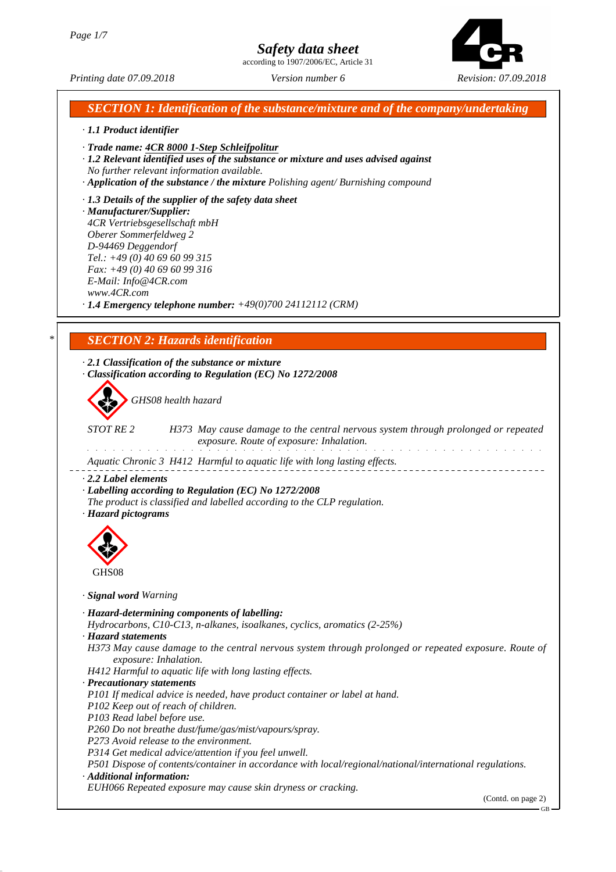according to 1907/2006/EC, Article 31



*Printing date 07.09.2018 Version number 6 Revision: 07.09.2018*

*SECTION 1: Identification of the substance/mixture and of the company/undertaking*

### *· 1.1 Product identifier · Trade name: 4CR 8000 1-Step Schleifpolitur · 1.2 Relevant identified uses of the substance or mixture and uses advised against No further relevant information available. · Application of the substance / the mixture Polishing agent/ Burnishing compound*

*· 1.3 Details of the supplier of the safety data sheet · Manufacturer/Supplier: 4CR Vertriebsgesellschaft mbH Oberer Sommerfeldweg 2 D-94469 Deggendorf Tel.: +49 (0) 40 69 60 99 315 Fax: +49 (0) 40 69 60 99 316 E-Mail: Info@4CR.com www.4CR.com*

*· 1.4 Emergency telephone number: +49(0)700 24112112 (CRM)*

## *\* SECTION 2: Hazards identification*

*· 2.1 Classification of the substance or mixture · Classification according to Regulation (EC) No 1272/2008*

d~*GHS08 health hazard*

*STOT RE 2 H373 May cause damage to the central nervous system through prolonged or repeated exposure. Route of exposure: Inhalation.* .<br>Tanàna ao amin'ny faritr'i Nouvelle-Aquitaine, ao amin'ny faritr'i Nouvelle-Aquitaine, ao amin'ny faritr'i Nou and the second control of the

*Aquatic Chronic 3 H412 Harmful to aquatic life with long lasting effects.*

*· 2.2 Label elements*

*· Labelling according to Regulation (EC) No 1272/2008*

*The product is classified and labelled according to the CLP regulation.*

*· Hazard pictograms*



*· Signal word Warning*

*· Hazard-determining components of labelling:*

*Hydrocarbons, C10-C13, n-alkanes, isoalkanes, cyclics, aromatics (2-25%)*

*· Hazard statements*

*H373 May cause damage to the central nervous system through prolonged or repeated exposure. Route of exposure: Inhalation.*

*H412 Harmful to aquatic life with long lasting effects.*

*· Precautionary statements*

*P101 If medical advice is needed, have product container or label at hand.*

*P102 Keep out of reach of children.*

*P103 Read label before use.*

*P260 Do not breathe dust/fume/gas/mist/vapours/spray.*

*P273 Avoid release to the environment.*

*P314 Get medical advice/attention if you feel unwell.*

*P501 Dispose of contents/container in accordance with local/regional/national/international regulations. · Additional information:*

*EUH066 Repeated exposure may cause skin dryness or cracking.*

(Contd. on page 2)

GB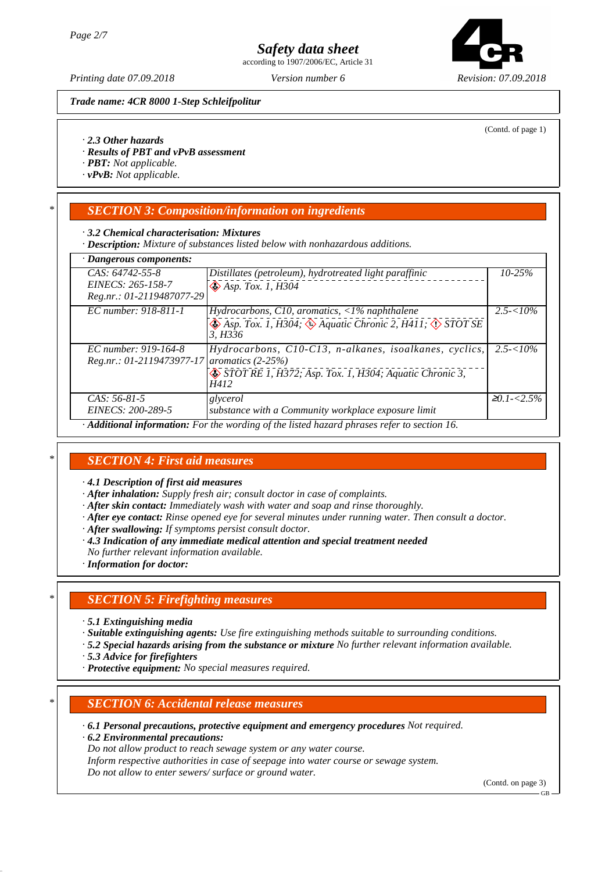according to 1907/2006/EC, Article 31



(Contd. of page 1)

*Printing date 07.09.2018 Version number 6 Revision: 07.09.2018*

*Trade name: 4CR 8000 1-Step Schleifpolitur*



- *· Results of PBT and vPvB assessment*
- *· PBT: Not applicable.*
- *· vPvB: Not applicable.*

## *\* SECTION 3: Composition/information on ingredients*

#### *· 3.2 Chemical characterisation: Mixtures*

*· Description: Mixture of substances listed below with nonhazardous additions.*

| · Dangerous components:                                                                   |                                                                                                                   |                    |  |  |
|-------------------------------------------------------------------------------------------|-------------------------------------------------------------------------------------------------------------------|--------------------|--|--|
| CAS: 64742-55-8                                                                           | Distillates (petroleum), hydrotreated light paraffinic                                                            | $10 - 25%$         |  |  |
| EINECS: 265-158-7                                                                         | $\bigotimes$ Asp. Tox. 1, H304                                                                                    |                    |  |  |
| Reg.nr.: 01-2119487077-29                                                                 |                                                                                                                   |                    |  |  |
| EC number: 918-811-1                                                                      | Hydrocarbons, C10, aromatics, $\langle 1\%$ naphthalene                                                           | $2.5 - 10\%$       |  |  |
|                                                                                           | $\bigotimes$ Asp. Tox. 1, H304; $\bigotimes$ Aquatic Chronic 2, H411; $\bigotimes$ STOT SE<br>3. H <sub>336</sub> |                    |  |  |
| EC number: 919-164-8                                                                      | Hydrocarbons, C10-C13, n-alkanes, isoalkanes, cyclics,                                                            | $2.5 - 10\%$       |  |  |
| Reg.nr.: 01-2119473977-17 aromatics (2-25%)                                               |                                                                                                                   |                    |  |  |
|                                                                                           | STOT RE 1, H372; Asp. Tox. 1, H304; Aquatic Chronic 3,<br>H412                                                    |                    |  |  |
| $CAS: 56-81-5$                                                                            | glycerol                                                                                                          | $\geq 0.1 - 2.5\%$ |  |  |
| EINECS: 200-289-5                                                                         | substance with a Community workplace exposure limit                                                               |                    |  |  |
| Additional information: For the wording of the listed hazard phrases refer to section 16. |                                                                                                                   |                    |  |  |

## *\* SECTION 4: First aid measures*

*· 4.1 Description of first aid measures*

- *· After inhalation: Supply fresh air; consult doctor in case of complaints.*
- *· After skin contact: Immediately wash with water and soap and rinse thoroughly.*
- *· After eye contact: Rinse opened eye for several minutes under running water. Then consult a doctor.*
- *· After swallowing: If symptoms persist consult doctor.*
- *· 4.3 Indication of any immediate medical attention and special treatment needed*
- *No further relevant information available.*
- *· Information for doctor:*

## *\* SECTION 5: Firefighting measures*

- *· 5.1 Extinguishing media*
- *· Suitable extinguishing agents: Use fire extinguishing methods suitable to surrounding conditions.*
- *· 5.2 Special hazards arising from the substance or mixture No further relevant information available.*
- *· 5.3 Advice for firefighters*
- *· Protective equipment: No special measures required.*

### *\* SECTION 6: Accidental release measures*

*· 6.1 Personal precautions, protective equipment and emergency procedures Not required.*

*· 6.2 Environmental precautions:*

*Do not allow product to reach sewage system or any water course.*

*Inform respective authorities in case of seepage into water course or sewage system. Do not allow to enter sewers/ surface or ground water.*

(Contd. on page 3)

GB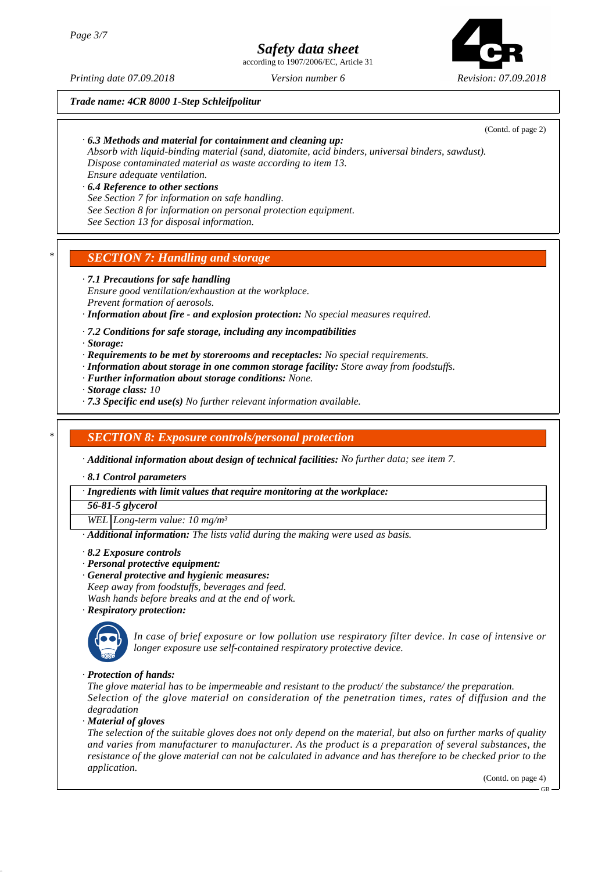according to 1907/2006/EC, Article 31



(Contd. of page 2)

*Printing date 07.09.2018 Version number 6 Revision: 07.09.2018*

*Trade name: 4CR 8000 1-Step Schleifpolitur*

*· 6.3 Methods and material for containment and cleaning up:*

*Absorb with liquid-binding material (sand, diatomite, acid binders, universal binders, sawdust). Dispose contaminated material as waste according to item 13. Ensure adequate ventilation.*

*· 6.4 Reference to other sections See Section 7 for information on safe handling. See Section 8 for information on personal protection equipment. See Section 13 for disposal information.*

## *\* SECTION 7: Handling and storage*

*· 7.1 Precautions for safe handling Ensure good ventilation/exhaustion at the workplace. Prevent formation of aerosols.*

*· Information about fire - and explosion protection: No special measures required.*

*· 7.2 Conditions for safe storage, including any incompatibilities*

*· Storage:*

- *· Requirements to be met by storerooms and receptacles: No special requirements.*
- *· Information about storage in one common storage facility: Store away from foodstuffs.*
- *· Further information about storage conditions: None.*
- *· Storage class: 10*
- *· 7.3 Specific end use(s) No further relevant information available.*

### *\* SECTION 8: Exposure controls/personal protection*

*· Additional information about design of technical facilities: No further data; see item 7.*

*· 8.1 Control parameters*

*· Ingredients with limit values that require monitoring at the workplace:*

*56-81-5 glycerol*

*WEL Long-term value: 10 mg/m³*

*· Additional information: The lists valid during the making were used as basis.*

- *· 8.2 Exposure controls*
- *· Personal protective equipment:*
- *· General protective and hygienic measures:*
- *Keep away from foodstuffs, beverages and feed.*

*Wash hands before breaks and at the end of work.*

*· Respiratory protection:*



\_Q*In case of brief exposure or low pollution use respiratory filter device. In case of intensive or longer exposure use self-contained respiratory protective device.*

*· Protection of hands:*

*The glove material has to be impermeable and resistant to the product/ the substance/ the preparation. Selection of the glove material on consideration of the penetration times, rates of diffusion and the degradation*

*· Material of gloves*

*The selection of the suitable gloves does not only depend on the material, but also on further marks of quality and varies from manufacturer to manufacturer. As the product is a preparation of several substances, the resistance of the glove material can not be calculated in advance and has therefore to be checked prior to the application.*

(Contd. on page 4)

GB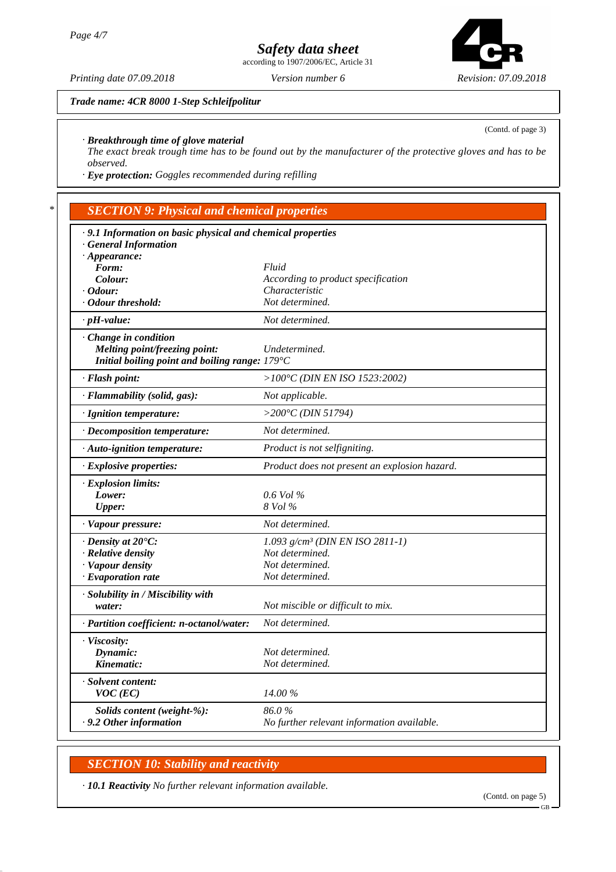according to 1907/2006/EC, Article 31



*Trade name: 4CR 8000 1-Step Schleifpolitur*

(Contd. of page 3)

#### *· Breakthrough time of glove material*

*The exact break trough time has to be found out by the manufacturer of the protective gloves and has to be observed.*

*· Eye protection: Goggles recommended during refilling*

## *\* SECTION 9: Physical and chemical properties*

| · 9.1 Information on basic physical and chemical properties |                                               |  |  |  |
|-------------------------------------------------------------|-----------------------------------------------|--|--|--|
| <b>General Information</b>                                  |                                               |  |  |  |
| $\cdot$ Appearance:                                         |                                               |  |  |  |
| Form:                                                       | Fluid                                         |  |  |  |
| Colour:                                                     | According to product specification            |  |  |  |
| $\cdot$ Odour:                                              | Characteristic                                |  |  |  |
| · Odour threshold:                                          | Not determined.                               |  |  |  |
| $\cdot$ pH-value:                                           | Not determined.                               |  |  |  |
| Change in condition                                         |                                               |  |  |  |
| Melting point/freezing point:                               | Undetermined.                                 |  |  |  |
| Initial boiling point and boiling range: $179^{\circ}$ C    |                                               |  |  |  |
| · Flash point:                                              | $>100^{\circ}$ C (DIN EN ISO 1523:2002)       |  |  |  |
| · Flammability (solid, gas):                                | Not applicable.                               |  |  |  |
| · Ignition temperature:                                     | >200 $^{\circ}$ C (DIN 51794)                 |  |  |  |
| · Decomposition temperature:                                | Not determined.                               |  |  |  |
| · Auto-ignition temperature:                                | Product is not selfigniting.                  |  |  |  |
| · Explosive properties:                                     | Product does not present an explosion hazard. |  |  |  |
| · Explosion limits:                                         |                                               |  |  |  |
| Lower:                                                      | $0.6$ Vol %                                   |  |  |  |
| <b>Upper:</b>                                               | 8 Vol %                                       |  |  |  |
| · Vapour pressure:                                          | Not determined.                               |  |  |  |
| $\cdot$ Density at 20 $\degree$ C:                          | 1.093 $g/cm^3$ (DIN EN ISO 2811-1)            |  |  |  |
| · Relative density                                          | Not determined.                               |  |  |  |
| · Vapour density                                            | Not determined.                               |  |  |  |
| $\cdot$ Evaporation rate                                    | Not determined.                               |  |  |  |
| · Solubility in / Miscibility with                          |                                               |  |  |  |
| water:                                                      | Not miscible or difficult to mix.             |  |  |  |
| · Partition coefficient: n-octanol/water:                   | Not determined.                               |  |  |  |
| · Viscosity:                                                |                                               |  |  |  |
| Dynamic:                                                    | Not determined.                               |  |  |  |
| Kinematic:                                                  | Not determined.                               |  |  |  |
| · Solvent content:                                          |                                               |  |  |  |
| $VOC$ (EC)                                                  | 14.00 %                                       |  |  |  |
| Solids content (weight-%):                                  | 86.0%                                         |  |  |  |
| $\cdot$ 9.2 Other information                               | No further relevant information available.    |  |  |  |
|                                                             |                                               |  |  |  |

## *SECTION 10: Stability and reactivity*

*· 10.1 Reactivity No further relevant information available.*

GB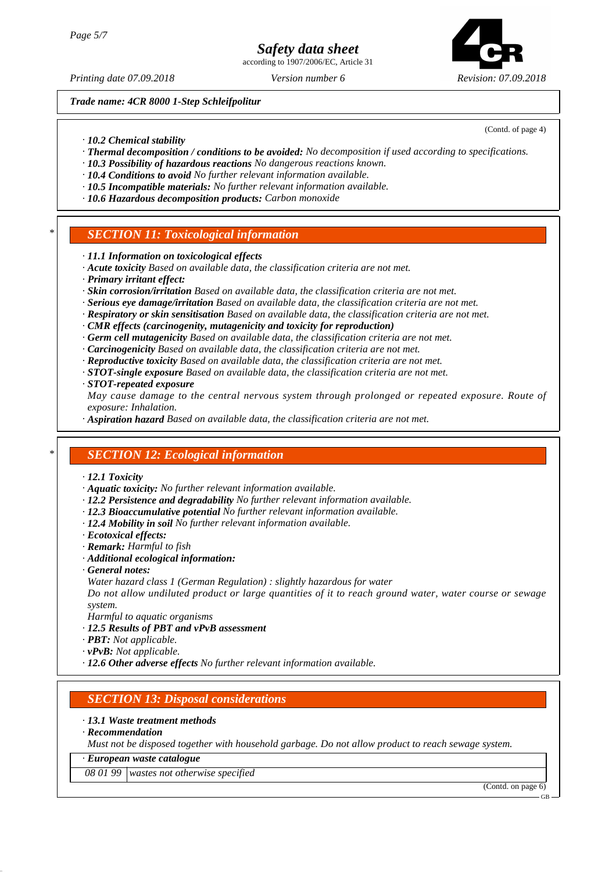according to 1907/2006/EC, Article 31



*Printing date 07.09.2018 Version number 6 Revision: 07.09.2018*

*Trade name: 4CR 8000 1-Step Schleifpolitur*

(Contd. of page 4)

- *· 10.2 Chemical stability*
- *· Thermal decomposition / conditions to be avoided: No decomposition if used according to specifications.*
- *· 10.3 Possibility of hazardous reactions No dangerous reactions known.*
- *· 10.4 Conditions to avoid No further relevant information available.*
- *· 10.5 Incompatible materials: No further relevant information available.*
- *· 10.6 Hazardous decomposition products: Carbon monoxide*

## *\* SECTION 11: Toxicological information*

- *· 11.1 Information on toxicological effects*
- *· Acute toxicity Based on available data, the classification criteria are not met.*
- *· Primary irritant effect:*
- *· Skin corrosion/irritation Based on available data, the classification criteria are not met.*
- *· Serious eye damage/irritation Based on available data, the classification criteria are not met.*
- *· Respiratory or skin sensitisation Based on available data, the classification criteria are not met.*
- *· CMR effects (carcinogenity, mutagenicity and toxicity for reproduction)*
- *· Germ cell mutagenicity Based on available data, the classification criteria are not met.*
- *· Carcinogenicity Based on available data, the classification criteria are not met.*
- *· Reproductive toxicity Based on available data, the classification criteria are not met.*
- *· STOT-single exposure Based on available data, the classification criteria are not met.*

#### *· STOT-repeated exposure*

*May cause damage to the central nervous system through prolonged or repeated exposure. Route of exposure: Inhalation.*

*· Aspiration hazard Based on available data, the classification criteria are not met.*

## *\* SECTION 12: Ecological information*

- *· 12.1 Toxicity*
- *· Aquatic toxicity: No further relevant information available.*
- *· 12.2 Persistence and degradability No further relevant information available.*
- *· 12.3 Bioaccumulative potential No further relevant information available.*
- *· 12.4 Mobility in soil No further relevant information available.*
- *· Ecotoxical effects:*
- *· Remark: Harmful to fish*
- *· Additional ecological information:*
- *· General notes:*
- *Water hazard class 1 (German Regulation) : slightly hazardous for water*

*Do not allow undiluted product or large quantities of it to reach ground water, water course or sewage system.*

- *Harmful to aquatic organisms*
- *· 12.5 Results of PBT and vPvB assessment*
- *· PBT: Not applicable.*
- *· vPvB: Not applicable.*
- *· 12.6 Other adverse effects No further relevant information available.*

## *SECTION 13: Disposal considerations*

- *· 13.1 Waste treatment methods*
- *· Recommendation*

*Must not be disposed together with household garbage. Do not allow product to reach sewage system.*

*· European waste catalogue*

*08 01 99 wastes not otherwise specified*

(Contd. on page 6)

GB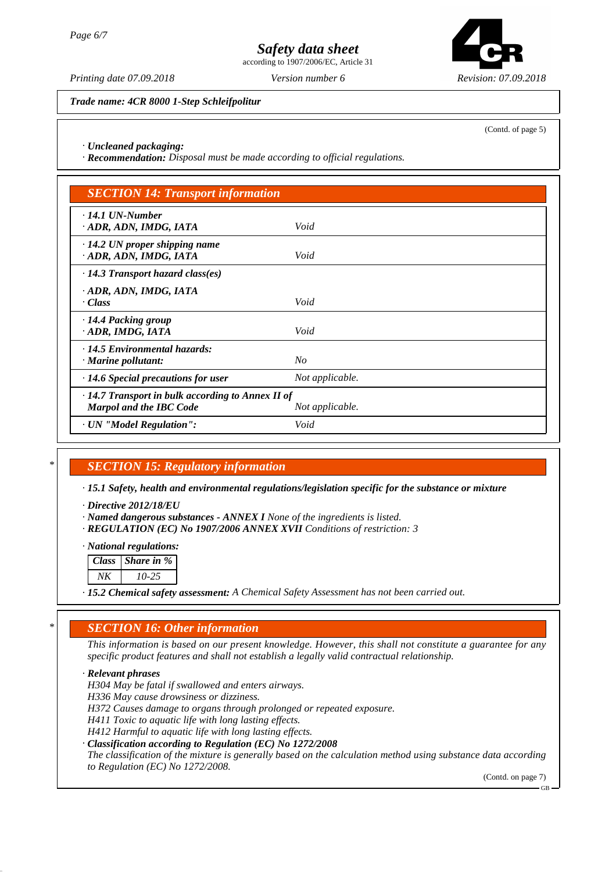according to 1907/2006/EC, Article 31



*Trade name: 4CR 8000 1-Step Schleifpolitur*

(Contd. of page 5)

#### *· Uncleaned packaging:*

*· Recommendation: Disposal must be made according to official regulations.*

| <b>SECTION 14: Transport information</b>                                                  |                 |  |
|-------------------------------------------------------------------------------------------|-----------------|--|
| $\cdot$ 14.1 UN-Number<br>· ADR, ADN, IMDG, IATA                                          | Void            |  |
| $\cdot$ 14.2 UN proper shipping name<br>· ADR, ADN, IMDG, IATA                            | Void            |  |
| $\cdot$ 14.3 Transport hazard class(es)                                                   |                 |  |
| ADR, ADN, IMDG, IATA<br>· Class                                                           | Void            |  |
| · 14.4 Packing group<br>· ADR, IMDG, IATA                                                 | Void            |  |
| $\cdot$ 14.5 Environmental hazards:<br>$\cdot$ Marine pollutant:                          | No              |  |
| $\cdot$ 14.6 Special precautions for user                                                 | Not applicable. |  |
| $\cdot$ 14.7 Transport in bulk according to Annex II of<br><b>Marpol and the IBC Code</b> | Not applicable. |  |
| · UN "Model Regulation":                                                                  | Void            |  |

## *\* SECTION 15: Regulatory information*

*· 15.1 Safety, health and environmental regulations/legislation specific for the substance or mixture*

*· Directive 2012/18/EU*

*· Named dangerous substances - ANNEX I None of the ingredients is listed.*

*· REGULATION (EC) No 1907/2006 ANNEX XVII Conditions of restriction: 3*

#### *· National regulations:*

| Class   Share in % |  |
|--------------------|--|
|                    |  |

*NK 10-25*

*· 15.2 Chemical safety assessment: A Chemical Safety Assessment has not been carried out.*

## *\* SECTION 16: Other information*

*This information is based on our present knowledge. However, this shall not constitute a guarantee for any specific product features and shall not establish a legally valid contractual relationship.*

*· Relevant phrases*

*H304 May be fatal if swallowed and enters airways.*

*H336 May cause drowsiness or dizziness.*

*H372 Causes damage to organs through prolonged or repeated exposure.*

*H411 Toxic to aquatic life with long lasting effects.*

*H412 Harmful to aquatic life with long lasting effects.*

*· Classification according to Regulation (EC) No 1272/2008*

*The classification of the mixture is generally based on the calculation method using substance data according to Regulation (EC) No 1272/2008.*

(Contd. on page 7)

GB